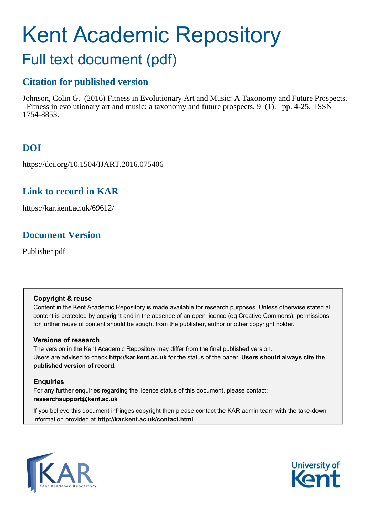# Kent Academic Repository Full text document (pdf)

# **Citation for published version**

Johnson, Colin G. (2016) Fitness in Evolutionary Art and Music: A Taxonomy and Future Prospects. Fitness in evolutionary art and music: a taxonomy and future prospects, 9 (1). pp. 4-25. ISSN 1754-8853.

# **DOI**

https://doi.org/10.1504/IJART.2016.075406

# **Link to record in KAR**

https://kar.kent.ac.uk/69612/

# **Document Version**

Publisher pdf

### **Copyright & reuse**

Content in the Kent Academic Repository is made available for research purposes. Unless otherwise stated all content is protected by copyright and in the absence of an open licence (eg Creative Commons), permissions for further reuse of content should be sought from the publisher, author or other copyright holder.

### **Versions of research**

The version in the Kent Academic Repository may differ from the final published version. Users are advised to check **http://kar.kent.ac.uk** for the status of the paper. **Users should always cite the published version of record.**

### **Enquiries**

For any further enquiries regarding the licence status of this document, please contact: **researchsupport@kent.ac.uk**

If you believe this document infringes copyright then please contact the KAR admin team with the take-down information provided at **http://kar.kent.ac.uk/contact.html**



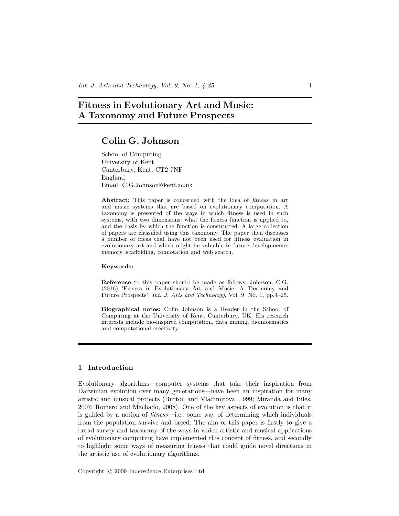## Fitness in Evolutionary Art and Music: A Taxonomy and Future Prospects

## Colin G. Johnson

School of Computing University of Kent Canterbury, Kent, CT2 7NF England Email: C.G.Johnson@kent.ac.uk

Abstract: This paper is concerned with the idea of fitness in art and music systems that are based on evolutionary computation. A taxonomy is presented of the ways in which fitness is used in such systems, with two dimensions: what the fitness function is applied to, and the basis by which the function is constructed. A large collection of papers are classified using this taxonomy. The paper then discusses a number of ideas that have not been used for fitness evaluation in evolutionary art and which might be valuable in future developments: memory, scaffolding, connotation and web search.

#### Keywords:

Reference to this paper should be made as follows: Johnson, C.G. (2016) 'Fitness in Evolutionary Art and Music: A Taxonomy and Future Prospects', Int. J. Arts and Technology, Vol. 9, No. 1, pp.4–25.

Biographical notes: Colin Johnson is a Reader in the School of Computing at the University of Kent, Canterbury, UK. His research interests include bio-inspired computation, data mining, bioinformatics and computational creativity.

#### 1 Introduction

Evolutionary algorithms—computer systems that take their inspiration from Darwinian evolution over many generations—have been an inspiration for many artistic and musical projects (Burton and Vladimirova, 1999; Miranda and Biles, 2007; Romero and Machado, 2008). One of the key aspects of evolution is that it is guided by a notion of fitness—i.e., some way of determining which individuals from the population survive and breed. The aim of this paper is firstly to give a broad survey and taxonomy of the ways in which artistic and musical applications of evolutionary computing have implemented this concept of fitness, and secondly to highlight some ways of measuring fitness that could guide novel directions in the artistic use of evolutionary algorithms.

Copyright (c) 2009 Inderscience Enterprises Ltd.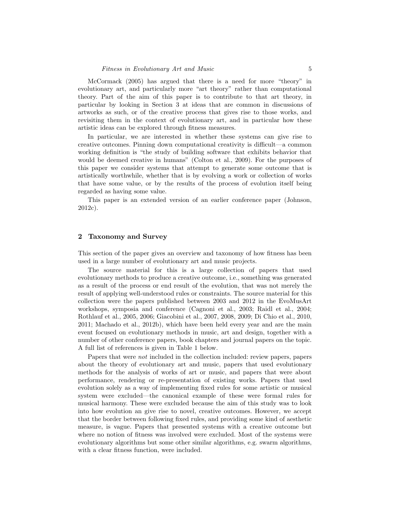McCormack (2005) has argued that there is a need for more "theory" in evolutionary art, and particularly more "art theory" rather than computational theory. Part of the aim of this paper is to contribute to that art theory, in particular by looking in Section 3 at ideas that are common in discussions of artworks as such, or of the creative process that gives rise to those works, and revisiting them in the context of evolutionary art, and in particular how these artistic ideas can be explored through fitness measures.

In particular, we are interested in whether these systems can give rise to creative outcomes. Pinning down computational creativity is difficult—a common working definition is "the study of building software that exhibits behavior that would be deemed creative in humans" (Colton et al., 2009). For the purposes of this paper we consider systems that attempt to generate some outcome that is artistically worthwhile, whether that is by evolving a work or collection of works that have some value, or by the results of the process of evolution itself being regarded as having some value.

This paper is an extended version of an earlier conference paper (Johnson, 2012c).

#### 2 Taxonomy and Survey

This section of the paper gives an overview and taxonomy of how fitness has been used in a large number of evolutionary art and music projects.

The source material for this is a large collection of papers that used evolutionary methods to produce a creative outcome, i.e., something was generated as a result of the process or end result of the evolution, that was not merely the result of applying well-understood rules or constraints. The source material for this collection were the papers published between 2003 and 2012 in the EvoMusArt workshops, symposia and conference (Cagnoni et al., 2003; Raidl et al., 2004; Rothlauf et al., 2005, 2006; Giacobini et al., 2007, 2008, 2009; Di Chio et al., 2010, 2011; Machado et al., 2012b), which have been held every year and are the main event focused on evolutionary methods in music, art and design, together with a number of other conference papers, book chapters and journal papers on the topic. A full list of references is given in Table 1 below.

Papers that were not included in the collection included: review papers, papers about the theory of evolutionary art and music, papers that used evolutionary methods for the analysis of works of art or music, and papers that were about performance, rendering or re-presentation of existing works. Papers that used evolution solely as a way of implementing fixed rules for some artistic or musical system were excluded—the canonical example of these were formal rules for musical harmony. These were excluded because the aim of this study was to look into how evolution an give rise to novel, creative outcomes. However, we accept that the border between following fixed rules, and providing some kind of aesthetic measure, is vague. Papers that presented systems with a creative outcome but where no notion of fitness was involved were excluded. Most of the systems were evolutionary algorithms but some other similar algorithms, e.g. swarm algorithms, with a clear fitness function, were included.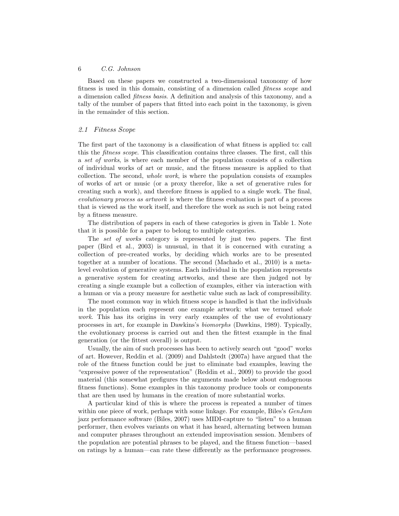Based on these papers we constructed a two-dimensional taxonomy of how fitness is used in this domain, consisting of a dimension called *fitness scope* and a dimension called fitness basis. A definition and analysis of this taxonomy, and a tally of the number of papers that fitted into each point in the taxonomy, is given in the remainder of this section.

#### 2.1 Fitness Scope

The first part of the taxonomy is a classification of what fitness is applied to: call this the fitness scope. This classification contains three classes. The first, call this a set of works, is where each member of the population consists of a collection of individual works of art or music, and the fitness measure is applied to that collection. The second, whole work, is where the population consists of examples of works of art or music (or a proxy therefor, like a set of generative rules for creating such a work), and therefore fitness is applied to a single work. The final, evolutionary process as artwork is where the fitness evaluation is part of a process that is viewed as the work itself, and therefore the work as such is not being rated by a fitness measure.

The distribution of papers in each of these categories is given in Table 1. Note that it is possible for a paper to belong to multiple categories.

The set of works category is represented by just two papers. The first paper (Bird et al., 2003) is unusual, in that it is concerned with curating a collection of pre-created works, by deciding which works are to be presented together at a number of locations. The second (Machado et al., 2010) is a metalevel evolution of generative systems. Each individual in the population represents a generative system for creating artworks, and these are then judged not by creating a single example but a collection of examples, either via interaction with a human or via a proxy measure for aesthetic value such as lack of compressibility.

The most common way in which fitness scope is handled is that the individuals in the population each represent one example artwork: what we termed whole work. This has its origins in very early examples of the use of evolutionary processes in art, for example in Dawkins's biomorphs (Dawkins, 1989). Typically, the evolutionary process is carried out and then the fittest example in the final generation (or the fittest overall) is output.

Usually, the aim of such processes has been to actively search out "good" works of art. However, Reddin et al. (2009) and Dahlstedt (2007a) have argued that the role of the fitness function could be just to eliminate bad examples, leaving the "expressive power of the representation" (Reddin et al., 2009) to provide the good material (this somewhat prefigures the arguments made below about endogenous fitness functions). Some examples in this taxonomy produce tools or components that are then used by humans in the creation of more substantial works.

A particular kind of this is where the process is repeated a number of times within one piece of work, perhaps with some linkage. For example, Biles's  $GenJam$ jazz performance software (Biles, 2007) uses MIDI-capture to "listen" to a human performer, then evolves variants on what it has heard, alternating between human and computer phrases throughout an extended improvisation session. Members of the population are potential phrases to be played, and the fitness function—based on ratings by a human—can rate these differently as the performance progresses.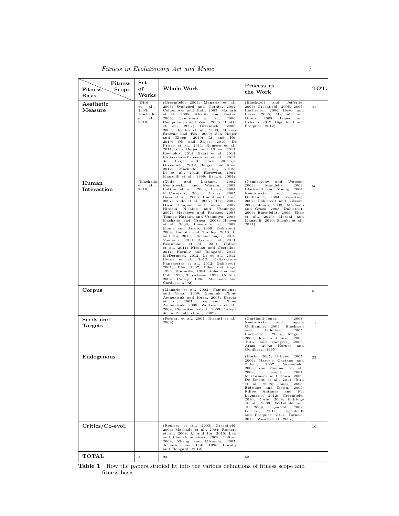Fitness in Evolutionary Art and Music 7

| <b>Fitness</b><br><b>Fitness</b><br>Scope<br><b>Basis</b> | $\bf Set$<br>of<br>Works                                             | <b>Whole Work</b>                                                                                                                                                                                                                                                                                                                                                                                                                                                                                                                                                                                                                                                                                                                                                                                                                                                                                                                                                                                                             | Process as<br>the Work                                                                                                                                                                                                                                                                                                                                                                                                                                                                                                                                                                    | тот.   |
|-----------------------------------------------------------|----------------------------------------------------------------------|-------------------------------------------------------------------------------------------------------------------------------------------------------------------------------------------------------------------------------------------------------------------------------------------------------------------------------------------------------------------------------------------------------------------------------------------------------------------------------------------------------------------------------------------------------------------------------------------------------------------------------------------------------------------------------------------------------------------------------------------------------------------------------------------------------------------------------------------------------------------------------------------------------------------------------------------------------------------------------------------------------------------------------|-------------------------------------------------------------------------------------------------------------------------------------------------------------------------------------------------------------------------------------------------------------------------------------------------------------------------------------------------------------------------------------------------------------------------------------------------------------------------------------------------------------------------------------------------------------------------------------------|--------|
| ${\bf Aest}$ hetic<br>Measure                             | (Bird<br>$_{\rm et}$<br>al.,<br>2003:<br>Machado<br>et al.,<br>2010) | (Greenfield, 2004; Manaris et al.,<br>2003; Svangård and Nordin, 2004;<br>Collomosse and Hall, 2005; Manaris<br>et al., 2005; Khalifa and Foster,<br>al.,<br>2006:<br>Santarosa et<br>2006:<br>Campolongo and Vena, 2006; Bilotta<br>et al., 2007; Greenfield,<br>2008.<br>2009; Reddin et al., 2009; Murray<br>Browne and Fox, 2009; den Heijer<br>and Eiben, 2010; Li and Hu,<br>2010; Oh and Zajec, 2010; De<br>Prisco et al., 2011; Romero et al.,<br>2011; den Heijer and Eiben, 2011;<br>Reynolds, 2011; Ekárt et al., 2011;<br>Kaliakatsos-Papakostas et al., 2012;<br>den Heijer and Eiben, 2012b,a;<br>Greenfield, 2012; Bergen and Ross,<br>2012; Machado et al., 2012a;<br>Li et al., 2012; Horowitz, 1994;<br>Manzolli et al., 1999; Brown, 2004)                                                                                                                                                                                                                                                                 | (Blackwell<br>and<br>Jefferies,<br>2005; Greenfield, 2005, 2006;<br>Hochreiter, 2006; Bown and<br>Lexer, 2006; Machado and<br>Graca, 2008; Lopes and<br>Urbano, 2012; Eigenfeldt and<br>Pasquier, 2012)                                                                                                                                                                                                                                                                                                                                                                                   | 41     |
| Human<br>Interaction                                      | (Machado<br>$_{\rm et}$<br>al.,<br>2010)                             | (Todd<br>1992;<br>and<br>Latham,<br>Nemirovsky<br>and<br>Watson,<br>2003:<br>Lutton et al., 2003; Lewis, 2004;<br>McCormack, 2004; Draves,<br>2005:<br>Basa et al., 2006; Unold and Troc,<br>2007; Ando et al., 2007; Hart, 2007;<br>Oscar Sanjuán and Luque, 2007;<br>Hiroaki<br>Nishino<br>and<br>Utsumiya,<br>2007; Machewe and Parmee, 2007;<br>Tsuneo Kagawa and Utsumiya, 2007;<br>Machado and Graca, 2008; Hoover<br>et al., 2008; Romero et al., 2009;<br>Moniz and Jacob, 2009; Dahlstedt,<br>2009; Dubbin and Stanley, 2010; Li<br>and Hu, 2010; Oh and Zajec, 2010;<br>Vouliouri, 2011; Byrne et al., 2011;<br>Eisenmann et al., 2011; Colton<br>et al., 2011; Nicolau and Costelloe,<br>2011; Hornby and Bongard, 2012;<br>McDermott, 2012; Li et al., 2012;<br>Byrne et al., 2012; Kaliakatsos-<br>Papakostas et al., 2012; Dahlstedt,<br>2001; Biles, 2007; Biles and Eign,<br>1995; Horowitz, 1994; Johanson and<br>Poli, 1998; Thywissen, 1999; Collins,<br>2002; Ralley, 1995; Machado and<br>Cardoso, 2002) | (Nemirovsky<br>and<br>Watson,<br>2003:<br>Mandelis,<br>2003:<br>Blackwell and Young, 2004;<br>Nemirovsky<br>and<br>Luger-<br>Guillaume, 2004; Yee-King,<br>2007; Dahlstedt and Nilsson,<br>2008; Jones, 2008; Machado<br>and Graca, 2008; Dahlstedt,<br>2009; Eigenfeldt, 2009; Shao<br>et al., 2010; Moroni and<br>Manzolli, 2010; Suzuki et al.,<br>2011)                                                                                                                                                                                                                               | 56     |
| Corpus                                                    |                                                                      | (Manaris et al., 2003; Campolongo<br>and Vena, 2006; Somnuk Phon-<br>Amnuaisuk and Kuan, 2007; Hervás<br>et al., 2007; Law and Phon-<br>Amnuaisuk, 2008; Wolkowicz et al.,<br>2009; Phon-Amnuaisuk, 2009; Ortega<br>de la Puente et al., 2002)                                                                                                                                                                                                                                                                                                                                                                                                                                                                                                                                                                                                                                                                                                                                                                                |                                                                                                                                                                                                                                                                                                                                                                                                                                                                                                                                                                                           | 8      |
| Seeds and<br>Targets                                      |                                                                      | (Fornari et al., 2007; Rizzuti et al.,<br>2009)                                                                                                                                                                                                                                                                                                                                                                                                                                                                                                                                                                                                                                                                                                                                                                                                                                                                                                                                                                               | (Gartland-Jones,<br>2003:<br>Nemirovsky<br>and<br>Luger-<br>Guillaume,<br>2004; Blackwell<br>Jefferies,<br>and<br>2005;<br>Hochreiter, 2006; Magnus,<br>2006; Bown and Lexer, 2006;<br>Tufte and Gangvik, 2008;<br>Ariza, 2002;<br>Horner<br>and<br>Goldberg, 1995)                                                                                                                                                                                                                                                                                                                       | $1\,1$ |
| Endogenous                                                |                                                                      |                                                                                                                                                                                                                                                                                                                                                                                                                                                                                                                                                                                                                                                                                                                                                                                                                                                                                                                                                                                                                               | (Dorin, 2005; Urbano, 2005,<br>2006; Marcelo Caetano and<br>Zuben, 2007;<br>Greenfield,<br>2006;<br>von Mammen<br>et al.<br>2008;<br>Uozumi,<br>2007;<br>McCormack and Bown, 2009;<br>De Smedt et al., 2011; Bird<br>et al., 2008; Jones, 2008;<br>Eldridge and Dorin, 2009;<br>Filipe Antunes<br>and Fol<br>Leymarie, 2012; Greenfield,<br>$\begin{tabular}{c c c c c} 2010; & Dorin, & 2009; & Eldridge \\ et & al., & 2008; & Wakefield & and \end{tabular}$<br>Ji, 2009; Eigenfeldt, 2009;<br>2011; Eigenfeldt<br>Fornari,<br>and Pasquier, 2011; Fornari,<br>2012; Waschka II, 2007) | 22     |
| Critics/Co-evol.                                          |                                                                      | (Romero et al., 2003; Greenfield,<br>2004; Machado et al., 2004; Romero<br>et al., 2009; Li and Hu, 2010; Law<br>and Phon-Amnuaisuk, 2008; Colton,<br>2008; Zhang and Miranda, 2007;<br>Johanson and Poli, 1998; Hornby<br>and Bongard, 2012)                                                                                                                                                                                                                                                                                                                                                                                                                                                                                                                                                                                                                                                                                                                                                                                 |                                                                                                                                                                                                                                                                                                                                                                                                                                                                                                                                                                                           | 10     |
| <b>TOTAL</b>                                              | 3                                                                    | 92                                                                                                                                                                                                                                                                                                                                                                                                                                                                                                                                                                                                                                                                                                                                                                                                                                                                                                                                                                                                                            | 52                                                                                                                                                                                                                                                                                                                                                                                                                                                                                                                                                                                        |        |

Table 1 How the papers studied fit into the various definitions of fitness scope and fitness basis.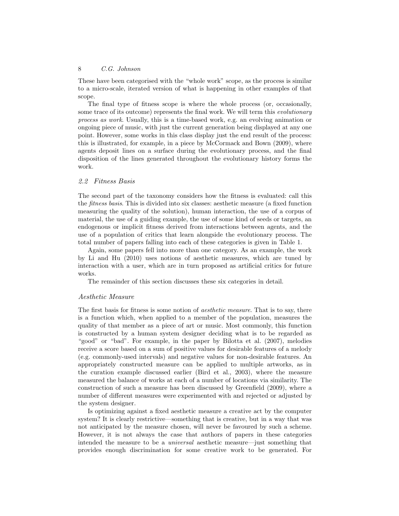These have been categorised with the "whole work" scope, as the process is similar to a micro-scale, iterated version of what is happening in other examples of that scope.

The final type of fitness scope is where the whole process (or, occasionally, some trace of its outcome) represents the final work. We will term this *evolutionary* process as work. Usually, this is a time-based work, e.g. an evolving animation or ongoing piece of music, with just the current generation being displayed at any one point. However, some works in this class display just the end result of the process: this is illustrated, for example, in a piece by McCormack and Bown (2009), where agents deposit lines on a surface during the evolutionary process, and the final disposition of the lines generated throughout the evolutionary history forms the work.

#### 2.2 Fitness Basis

The second part of the taxonomy considers how the fitness is evaluated: call this the fitness basis. This is divided into six classes: aesthetic measure (a fixed function measuring the quality of the solution), human interaction, the use of a corpus of material, the use of a guiding example, the use of some kind of seeds or targets, an endogenous or implicit fitness derived from interactions between agents, and the use of a population of critics that learn alongside the evolutionary process. The total number of papers falling into each of these categories is given in Table 1.

Again, some papers fell into more than one category. As an example, the work by Li and Hu (2010) uses notions of aesthetic measures, which are tuned by interaction with a user, which are in turn proposed as artificial critics for future works.

The remainder of this section discusses these six categories in detail.

#### Aesthetic Measure

The first basis for fitness is some notion of *aesthetic measure*. That is to say, there is a function which, when applied to a member of the population, measures the quality of that member as a piece of art or music. Most commonly, this function is constructed by a human system designer deciding what is to be regarded as "good" or "bad". For example, in the paper by Bilotta et al. (2007), melodies receive a score based on a sum of positive values for desirable features of a melody (e.g. commonly-used intervals) and negative values for non-desirable features. An appropriately constructed measure can be applied to multiple artworks, as in the curation example discussed earlier (Bird et al., 2003), where the measure measured the balance of works at each of a number of locations via similarity. The construction of such a measure has been discussed by Greenfield (2009), where a number of different measures were experimented with and rejected or adjusted by the system designer.

Is optimizing against a fixed aesthetic measure a creative act by the computer system? It is clearly restrictive—something that is creative, but in a way that was not anticipated by the measure chosen, will never be favoured by such a scheme. However, it is not always the case that authors of papers in these categories intended the measure to be a universal aesthetic measure—just something that provides enough discrimination for some creative work to be generated. For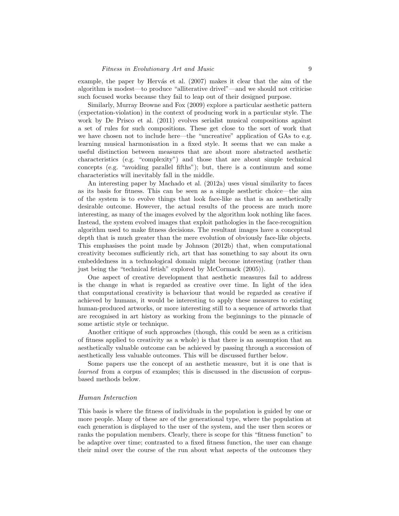#### Fitness in Evolutionary Art and Music 9

example, the paper by Hervás et al.  $(2007)$  makes it clear that the aim of the algorithm is modest—to produce "alliterative drivel"—and we should not criticise such focused works because they fail to leap out of their designed purpose.

Similarly, Murray Browne and Fox (2009) explore a particular aesthetic pattern (expectation-violation) in the context of producing work in a particular style. The work by De Prisco et al. (2011) evolves serialist musical compositions against a set of rules for such compositions. These get close to the sort of work that we have chosen not to include here—the "uncreative" application of GAs to e.g. learning musical harmonisation in a fixed style. It seems that we can make a useful distinction between measures that are about more abstracted aesthetic characteristics (e.g. "complexity") and those that are about simple technical concepts (e.g. "avoiding parallel fifths"); but, there is a continuum and some characteristics will inevitably fall in the middle.

An interesting paper by Machado et al. (2012a) uses visual similarity to faces as its basis for fitness. This can be seen as a simple aesthetic choice—the aim of the system is to evolve things that look face-like as that is an aesthetically desirable outcome. However, the actual results of the process are much more interesting, as many of the images evolved by the algorithm look nothing like faces. Instead, the system evolved images that exploit pathologies in the face-recognition algorithm used to make fitness decisions. The resultant images have a conceptual depth that is much greater than the mere evolution of obviously face-like objects. This emphasises the point made by Johnson (2012b) that, when computational creativity becomes sufficiently rich, art that has something to say about its own embeddedness in a technological domain might become interesting (rather than just being the "technical fetish" explored by McCormack (2005)).

One aspect of creative development that aesthetic measures fail to address is the change in what is regarded as creative over time. In light of the idea that computational creativity is behaviour that would be regarded as creative if achieved by humans, it would be interesting to apply these measures to existing human-produced artworks, or more interesting still to a sequence of artworks that are recognised in art history as working from the beginnings to the pinnacle of some artistic style or technique.

Another critique of such approaches (though, this could be seen as a criticism of fitness applied to creativity as a whole) is that there is an assumption that an aesthetically valuable outcome can be achieved by passing through a succession of aesthetically less valuable outcomes. This will be discussed further below.

Some papers use the concept of an aesthetic measure, but it is one that is learned from a corpus of examples; this is discussed in the discussion of corpusbased methods below.

#### Human Interaction

This basis is where the fitness of individuals in the population is guided by one or more people. Many of these are of the generational type, where the population at each generation is displayed to the user of the system, and the user then scores or ranks the population members. Clearly, there is scope for this "fitness function" to be adaptive over time; contrasted to a fixed fitness function, the user can change their mind over the course of the run about what aspects of the outcomes they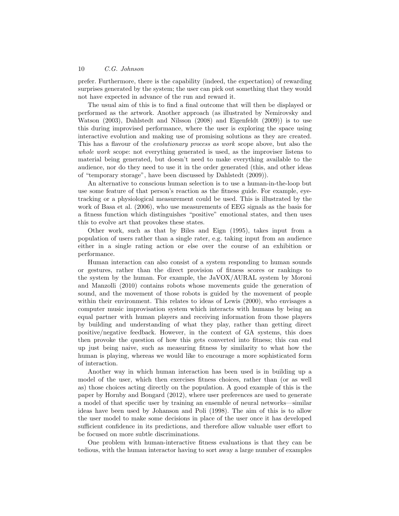prefer. Furthermore, there is the capability (indeed, the expectation) of rewarding surprises generated by the system; the user can pick out something that they would not have expected in advance of the run and reward it.

The usual aim of this is to find a final outcome that will then be displayed or performed as the artwork. Another approach (as illustrated by Nemirovsky and Watson (2003), Dahlstedt and Nilsson (2008) and Eigenfeldt (2009)) is to use this during improvised performance, where the user is exploring the space using interactive evolution and making use of promising solutions as they are created. This has a flavour of the *evolutionary process as work* scope above, but also the whole work scope: not everything generated is used, as the improviser listens to material being generated, but doesn't need to make everything available to the audience, nor do they need to use it in the order generated (this, and other ideas of "temporary storage", have been discussed by Dahlstedt (2009)).

An alternative to conscious human selection is to use a human-in-the-loop but use some feature of that person's reaction as the fitness guide. For example, eyetracking or a physiological measurement could be used. This is illustrated by the work of Basa et al. (2006), who use measurements of EEG signals as the basis for a fitness function which distinguishes "positive" emotional states, and then uses this to evolve art that provokes these states.

Other work, such as that by Biles and Eign (1995), takes input from a population of users rather than a single rater, e.g. taking input from an audience either in a single rating action or else over the course of an exhibition or performance.

Human interaction can also consist of a system responding to human sounds or gestures, rather than the direct provision of fitness scores or rankings to the system by the human. For example, the JaVOX/AURAL system by Moroni and Manzolli (2010) contains robots whose movements guide the generation of sound, and the movement of those robots is guided by the movement of people within their environment. This relates to ideas of Lewis (2000), who envisages a computer music improvisation system which interacts with humans by being an equal partner with human players and receiving information from those players by building and understanding of what they play, rather than getting direct positive/negative feedback. However, in the context of GA systems, this does then provoke the question of how this gets converted into fitness; this can end up just being naive, such as measuring fitness by similarity to what how the human is playing, whereas we would like to encourage a more sophisticated form of interaction.

Another way in which human interaction has been used is in building up a model of the user, which then exercises fitness choices, rather than (or as well as) those choices acting directly on the population. A good example of this is the paper by Hornby and Bongard (2012), where user preferences are used to generate a model of that specific user by training an ensemble of neural networks—similar ideas have been used by Johanson and Poli (1998). The aim of this is to allow the user model to make some decisions in place of the user once it has developed sufficient confidence in its predictions, and therefore allow valuable user effort to be focused on more subtle discriminations.

One problem with human-interactive fitness evaluations is that they can be tedious, with the human interactor having to sort away a large number of examples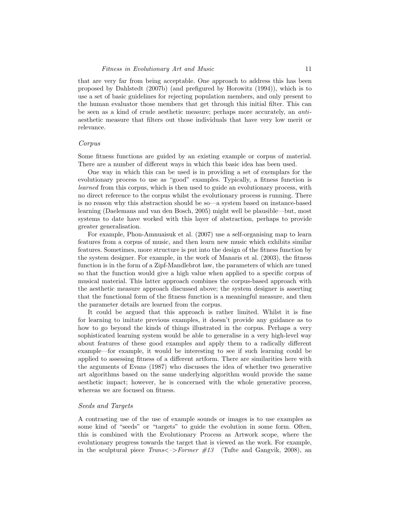that are very far from being acceptable. One approach to address this has been proposed by Dahlstedt (2007b) (and prefigured by Horowitz (1994)), which is to use a set of basic guidelines for rejecting population members, and only present to the human evaluator those members that get through this initial filter. This can be seen as a kind of crude aesthetic measure; perhaps more accurately, an antiaesthetic measure that filters out those individuals that have very low merit or relevance.

#### Corpus

Some fitness functions are guided by an existing example or corpus of material. There are a number of different ways in which this basic idea has been used.

One way in which this can be used is in providing a set of exemplars for the evolutionary process to use as "good" examples. Typically, a fitness function is learned from this corpus, which is then used to guide an evolutionary process, with no direct reference to the corpus whilst the evolutionary process is running. There is no reason why this abstraction should be so—a system based on instance-based learning (Daelemans and van den Bosch, 2005) might well be plausible—but, most systems to date have worked with this layer of abstraction, perhaps to provide greater generalisation.

For example, Phon-Amnuaisuk et al. (2007) use a self-organising map to learn features from a corpus of music, and then learn new music which exhibits similar features. Sometimes, more structure is put into the design of the fitness function by the system designer. For example, in the work of Manaris et al. (2003), the fitness function is in the form of a Zipf-Mandlebrot law, the parameters of which are tuned so that the function would give a high value when applied to a specific corpus of musical material. This latter approach combines the corpus-based approach with the aesthetic measure approach discussed above; the system designer is asserting that the functional form of the fitness function is a meaningful measure, and then the parameter details are learned from the corpus.

It could be argued that this approach is rather limited. Whilst it is fine for learning to imitate previous examples, it doesn't provide any guidance as to how to go beyond the kinds of things illustrated in the corpus. Perhaps a very sophisticated learning system would be able to generalise in a very high-level way about features of these good examples and apply them to a radically different example—for example, it would be interesting to see if such learning could be applied to assessing fitness of a different artform. There are similarities here with the arguments of Evans (1987) who discusses the idea of whether two generative art algorithms based on the same underlying algorithm would provide the same aesthetic impact; however, he is concerned with the whole generative process, whereas we are focused on fitness.

#### Seeds and Targets

A contrasting use of the use of example sounds or images is to use examples as some kind of "seeds" or "targets" to guide the evolution in some form. Often, this is combined with the Evolutionary Process as Artwork scope, where the evolutionary progress towards the target that is viewed as the work. For example, in the sculptural piece Trans $\lt$  ->Former #13 (Tufte and Gangvik, 2008), an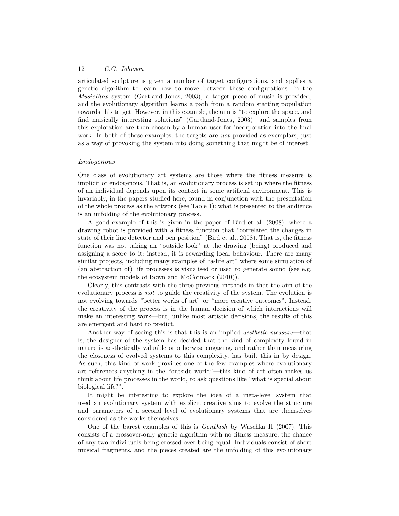articulated sculpture is given a number of target configurations, and applies a genetic algorithm to learn how to move between these configurations. In the MusicBlox system (Gartland-Jones, 2003), a target piece of music is provided, and the evolutionary algorithm learns a path from a random starting population towards this target. However, in this example, the aim is "to explore the space, and find musically interesting solutions" (Gartland-Jones, 2003)—and samples from this exploration are then chosen by a human user for incorporation into the final work. In both of these examples, the targets are *not* provided as exemplars, just as a way of provoking the system into doing something that might be of interest.

#### Endogenous

One class of evolutionary art systems are those where the fitness measure is implicit or endogenous. That is, an evolutionary process is set up where the fitness of an individual depends upon its context in some artificial environment. This is invariably, in the papers studied here, found in conjunction with the presentation of the whole process as the artwork (see Table 1): what is presented to the audience is an unfolding of the evolutionary process.

A good example of this is given in the paper of Bird et al. (2008), where a drawing robot is provided with a fitness function that "correlated the changes in state of their line detector and pen position" (Bird et al., 2008). That is, the fitness function was not taking an "outside look" at the drawing (being) produced and assigning a score to it; instead, it is rewarding local behaviour. There are many similar projects, including many examples of "a-life art" where some simulation of (an abstraction of) life processes is visualised or used to generate sound (see e.g. the ecosystem models of Bown and McCormack (2010)).

Clearly, this contrasts with the three previous methods in that the aim of the evolutionary process is not to guide the creativity of the system. The evolution is not evolving towards "better works of art" or "more creative outcomes". Instead, the creativity of the process is in the human decision of which interactions will make an interesting work—but, unlike most artistic decisions, the results of this are emergent and hard to predict.

Another way of seeing this is that this is an implied aesthetic measure—that is, the designer of the system has decided that the kind of complexity found in nature is aesthetically valuable or otherwise engaging, and rather than measuring the closeness of evolved systems to this complexity, has built this in by design. As such, this kind of work provides one of the few examples where evolutionary art references anything in the "outside world"—this kind of art often makes us think about life processes in the world, to ask questions like "what is special about biological life?".

It might be interesting to explore the idea of a meta-level system that used an evolutionary system with explicit creative aims to evolve the structure and parameters of a second level of evolutionary systems that are themselves considered as the works themselves.

One of the barest examples of this is GenDash by Waschka II (2007). This consists of a crossover-only genetic algorithm with no fitness measure, the chance of any two individuals being crossed over being equal. Individuals consist of short musical fragments, and the pieces created are the unfolding of this evolutionary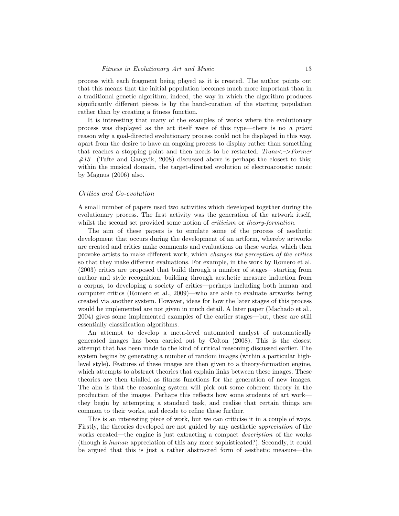process with each fragment being played as it is created. The author points out that this means that the initial population becomes much more important than in a traditional genetic algorithm; indeed, the way in which the algorithm produces significantly different pieces is by the hand-curation of the starting population rather than by creating a fitness function.

It is interesting that many of the examples of works where the evolutionary process was displayed as the art itself were of this type—there is no a priori reason why a goal-directed evolutionary process could not be displayed in this way, apart from the desire to have an ongoing process to display rather than something that reaches a stopping point and then needs to be restarted. Trans $\lt$  ->Former  $\#13$  (Tufte and Gangvik, 2008) discussed above is perhaps the closest to this; within the musical domain, the target-directed evolution of electroacoustic music by Magnus (2006) also.

#### Critics and Co-evolution

A small number of papers used two activities which developed together during the evolutionary process. The first activity was the generation of the artwork itself, whilst the second set provided some notion of *criticism* or *theory-formation*.

The aim of these papers is to emulate some of the process of aesthetic development that occurs during the development of an artform, whereby artworks are created and critics make comments and evaluations on these works, which then provoke artists to make different work, which changes the perception of the critics so that they make different evaluations. For example, in the work by Romero et al. (2003) critics are proposed that build through a number of stages—starting from author and style recognition, building through aesthetic measure induction from a corpus, to developing a society of critics—perhaps including both human and computer critics (Romero et al., 2009)—who are able to evaluate artworks being created via another system. However, ideas for how the later stages of this process would be implemented are not given in much detail. A later paper (Machado et al., 2004) gives some implemented examples of the earlier stages—but, these are still essentially classification algorithms.

An attempt to develop a meta-level automated analyst of automatically generated images has been carried out by Colton (2008). This is the closest attempt that has been made to the kind of critical reasoning discussed earlier. The system begins by generating a number of random images (within a particular highlevel style). Features of these images are then given to a theory-formation engine, which attempts to abstract theories that explain links between these images. These theories are then trialled as fitness functions for the generation of new images. The aim is that the reasoning system will pick out some coherent theory in the production of the images. Perhaps this reflects how some students of art work they begin by attempting a standard task, and realise that certain things are common to their works, and decide to refine these further.

This is an interesting piece of work, but we can criticise it in a couple of ways. Firstly, the theories developed are not guided by any aesthetic appreciation of the works created—the engine is just extracting a compact *description* of the works (though is human appreciation of this any more sophisticated?). Secondly, it could be argued that this is just a rather abstracted form of aesthetic measure—the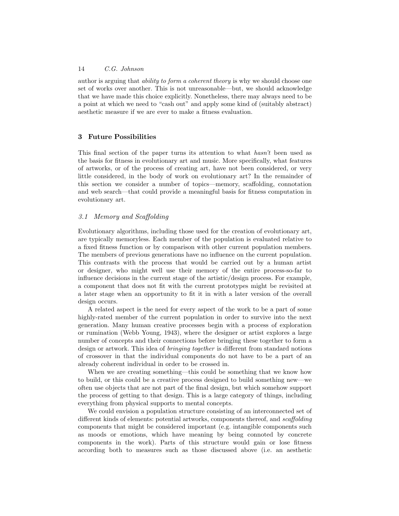author is arguing that *ability to form a coherent theory* is why we should choose one set of works over another. This is not unreasonable—but, we should acknowledge that we have made this choice explicitly. Nonetheless, there may always need to be a point at which we need to "cash out" and apply some kind of (suitably abstract) aesthetic measure if we are ever to make a fitness evaluation.

#### 3 Future Possibilities

This final section of the paper turns its attention to what hasn't been used as the basis for fitness in evolutionary art and music. More specifically, what features of artworks, or of the process of creating art, have not been considered, or very little considered, in the body of work on evolutionary art? In the remainder of this section we consider a number of topics—memory, scaffolding, connotation and web search—that could provide a meaningful basis for fitness computation in evolutionary art.

#### 3.1 Memory and Scaffolding

Evolutionary algorithms, including those used for the creation of evolutionary art, are typically memoryless. Each member of the population is evaluated relative to a fixed fitness function or by comparison with other current population members. The members of previous generations have no influence on the current population. This contrasts with the process that would be carried out by a human artist or designer, who might well use their memory of the entire process-so-far to influence decisions in the current stage of the artistic/design process. For example, a component that does not fit with the current prototypes might be revisited at a later stage when an opportunity to fit it in with a later version of the overall design occurs.

A related aspect is the need for every aspect of the work to be a part of some highly-rated member of the current population in order to survive into the next generation. Many human creative processes begin with a process of exploration or rumination (Webb Young, 1943), where the designer or artist explores a large number of concepts and their connections before bringing these together to form a design or artwork. This idea of *bringing together* is different from standard notions of crossover in that the individual components do not have to be a part of an already coherent individual in order to be crossed in.

When we are creating something—this could be something that we know how to build, or this could be a creative process designed to build something new—we often use objects that are not part of the final design, but which somehow support the process of getting to that design. This is a large category of things, including everything from physical supports to mental concepts.

We could envision a population structure consisting of an interconnected set of different kinds of elements: potential artworks, components thereof, and scaffolding components that might be considered important (e.g. intangible components such as moods or emotions, which have meaning by being connoted by concrete components in the work). Parts of this structure would gain or lose fitness according both to measures such as those discussed above (i.e. an aesthetic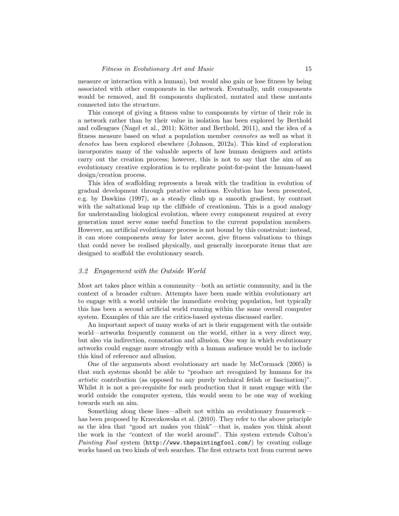measure or interaction with a human), but would also gain or lose fitness by being associated with other components in the network. Eventually, unfit components would be removed, and fit components duplicated, mutated and these mutants connected into the structure.

This concept of giving a fitness value to components by virtue of their role in a network rather than by their value in isolation has been explored by Berthold and colleagues (Nagel et al., 2011; Kötter and Berthold, 2011), and the idea of a fitness measure based on what a population member connotes as well as what it denotes has been explored elsewhere (Johnson, 2012a). This kind of exploration incorporates many of the valuable aspects of how human designers and artists carry out the creation process; however, this is not to say that the aim of an evolutionary creative exploration is to replicate point-for-point the human-based design/creation process.

This idea of scaffolding represents a break with the tradition in evolution of gradual development through putative solutions. Evolution has been presented, e.g. by Dawkins (1997), as a steady climb up a smooth gradient, by contrast with the saltational leap up the cliffside of creationism. This is a good analogy for understanding biological evolution, where every component required at every generation must serve some useful function to the current population members. However, an artificial evolutionary process is not bound by this constraint: instead, it can store components away for later access, give fitness valuations to things that could never be realised physically, and generally incorporate items that are designed to scaffold the evolutionary search.

#### 3.2 Engagement with the Outside World

Most art takes place within a community—both an artistic community, and in the context of a broader culture. Attempts have been made within evolutionary art to engage with a world outside the immediate evolving population, but typically this has been a second artificial world running within the same overall computer system. Examples of this are the critics-based systems discussed earlier.

An important aspect of many works of art is their engagement with the outside world—artworks frequently comment on the world, either in a very direct way, but also via indirection, connotation and allusion. One way in which evolutionary artworks could engage more strongly with a human audience would be to include this kind of reference and allusion.

One of the arguments about evolutionary art made by McCormack (2005) is that such systems should be able to "produce art recognized by humans for its artistic contribution (as opposed to any purely technical fetish or fascination)". Whilst it is not a pre-requisite for such production that it must engage with the world outside the computer system, this would seem to be one way of working towards such an aim.

Something along these lines—albeit not within an evolutionary framework has been proposed by Krzeczkowska et al. (2010). They refer to the above principle as the idea that "good art makes you think"—that is, makes you think about the work in the "context of the world around". This system extends Colton's Painting Fool system (http://www.thepaintingfool.com/) by creating collage works based on two kinds of web searches. The first extracts text from current news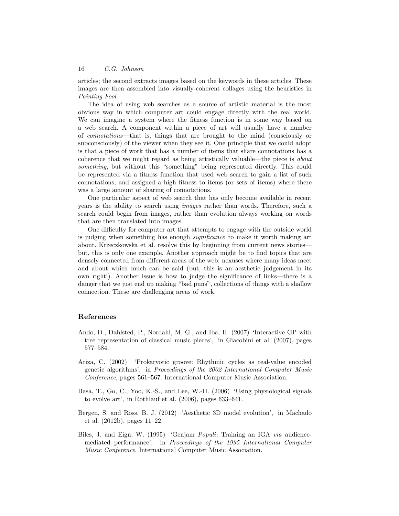articles; the second extracts images based on the keywords in these articles. These images are then assembled into visually-coherent collages using the heuristics in Painting Fool.

The idea of using web searches as a source of artistic material is the most obvious way in which computer art could engage directly with the real world. We can imagine a system where the fitness function is in some way based on a web search. A component within a piece of art will usually have a number of connotations—that is, things that are brought to the mind (consciously or subconsciously) of the viewer when they see it. One principle that we could adopt is that a piece of work that has a number of items that share connotations has a coherence that we might regard as being artistically valuable—the piece is about something, but without this "something" being represented directly. This could be represented via a fitness function that used web search to gain a list of such connotations, and assigned a high fitness to items (or sets of items) where there was a large amount of sharing of connotations.

One particular aspect of web search that has only become available in recent years is the ability to search using images rather than words. Therefore, such a search could begin from images, rather than evolution always working on words that are then translated into images.

One difficulty for computer art that attempts to engage with the outside world is judging when something has enough *significance* to make it worth making art about. Krzeczkowska et al. resolve this by beginning from current news stories but, this is only one example. Another approach might be to find topics that are densely connected from different areas of the web: nexuses where many ideas meet and about which much can be said (but, this is an aesthetic judgement in its own right!). Another issue is how to judge the significance of links—there is a danger that we just end up making "bad puns", collections of things with a shallow connection. These are challenging areas of work.

#### References

- Ando, D., Dahlsted, P., Nordahl, M. G., and Iba, H. (2007) 'Interactive GP with tree representation of classical music pieces', in Giacobini et al. (2007), pages 577–584.
- Ariza, C. (2002) 'Prokaryotic groove: Rhythmic cycles as real-value encoded genetic algorithms', in Proceedings of the 2002 International Computer Music Conference, pages 561–567. International Computer Music Association.
- Basa, T., Go, C., Yoo, K.-S., and Lee, W.-H. (2006) 'Using physiological signals to evolve art', in Rothlauf et al. (2006), pages 633–641.
- Bergen, S. and Ross, B. J. (2012) 'Aesthetic 3D model evolution', in Machado et al. (2012b), pages 11–22.
- Biles, J. and Eign, W. (1995) 'Genjam *Populi*: Training an IGA *via* audiencemediated performance', in Proceedings of the 1995 International Computer Music Conference. International Computer Music Association.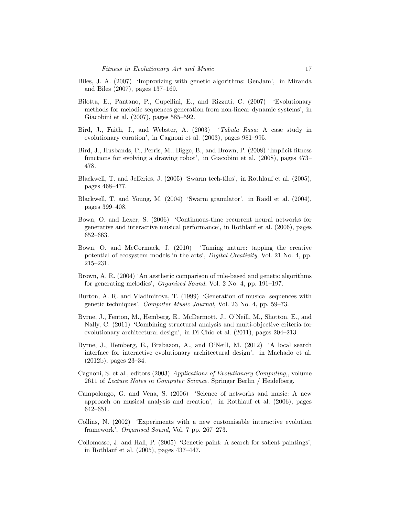- Biles, J. A. (2007) 'Improvizing with genetic algorithms: GenJam', in Miranda and Biles (2007), pages 137–169.
- Bilotta, E., Pantano, P., Cupellini, E., and Rizzuti, C. (2007) 'Evolutionary methods for melodic sequences generation from non-linear dynamic systems', in Giacobini et al. (2007), pages 585–592.
- Bird, J., Faith, J., and Webster, A. (2003) 'Tabula Rasa: A case study in evolutionary curation', in Cagnoni et al. (2003), pages 981–995.
- Bird, J., Husbands, P., Perris, M., Bigge, B., and Brown, P. (2008) 'Implicit fitness functions for evolving a drawing robot', in Giacobini et al. (2008), pages 473– 478.
- Blackwell, T. and Jefferies, J. (2005) 'Swarm tech-tiles', in Rothlauf et al. (2005), pages 468–477.
- Blackwell, T. and Young, M. (2004) 'Swarm granulator', in Raidl et al. (2004), pages 399–408.
- Bown, O. and Lexer, S. (2006) 'Continuous-time recurrent neural networks for generative and interactive musical performance', in Rothlauf et al. (2006), pages 652–663.
- Bown, O. and McCormack, J. (2010) 'Taming nature: tapping the creative potential of ecosystem models in the arts', Digital Creativity, Vol. 21 No. 4, pp. 215–231.
- Brown, A. R. (2004) 'An aesthetic comparison of rule-based and genetic algorithms for generating melodies', Organised Sound, Vol. 2 No. 4, pp. 191–197.
- Burton, A. R. and Vladimirova, T. (1999) 'Generation of musical sequences with genetic techniques', Computer Music Journal, Vol. 23 No. 4, pp. 59–73.
- Byrne, J., Fenton, M., Hemberg, E., McDermott, J., O'Neill, M., Shotton, E., and Nally, C. (2011) 'Combining structural analysis and multi-objective criteria for evolutionary architectural design', in Di Chio et al. (2011), pages 204–213.
- Byrne, J., Hemberg, E., Brabazon, A., and O'Neill, M. (2012) 'A local search interface for interactive evolutionary architectural design', in Machado et al. (2012b), pages 23–34.
- Cagnoni, S. et al., editors (2003) Applications of Evolutionary Computing,, volume 2611 of Lecture Notes in Computer Science. Springer Berlin / Heidelberg.
- Campolongo, G. and Vena, S. (2006) 'Science of networks and music: A new approach on musical analysis and creation', in Rothlauf et al. (2006), pages 642–651.
- Collins, N. (2002) 'Experiments with a new customisable interactive evolution framework', Organised Sound, Vol. 7 pp. 267–273.
- Collomosse, J. and Hall, P. (2005) 'Genetic paint: A search for salient paintings', in Rothlauf et al. (2005), pages 437–447.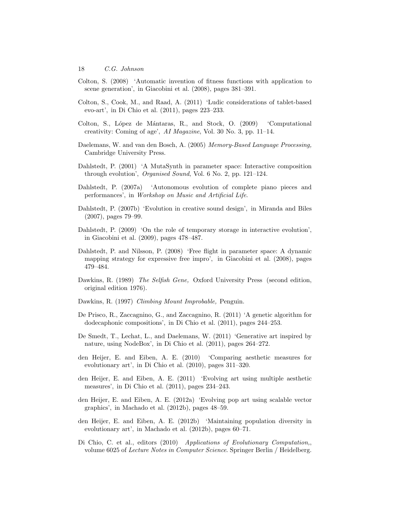- Colton, S. (2008) 'Automatic invention of fitness functions with application to scene generation', in Giacobini et al. (2008), pages 381–391.
- Colton, S., Cook, M., and Raad, A. (2011) 'Ludic considerations of tablet-based evo-art', in Di Chio et al. (2011), pages 223–233.
- Colton, S., López de Mántaras, R., and Stock, O. (2009) 'Computational creativity: Coming of age', AI Magazine, Vol. 30 No. 3, pp. 11–14.
- Daelemans, W. and van den Bosch, A. (2005) Memory-Based Language Processing, Cambridge University Press.
- Dahlstedt, P. (2001) 'A MutaSynth in parameter space: Interactive composition through evolution', Organised Sound, Vol. 6 No. 2, pp. 121–124.
- Dahlstedt, P. (2007a) 'Autonomous evolution of complete piano pieces and performances', in Workshop on Music and Artificial Life.
- Dahlstedt, P. (2007b) 'Evolution in creative sound design', in Miranda and Biles (2007), pages 79–99.
- Dahlstedt, P. (2009) 'On the role of temporary storage in interactive evolution', in Giacobini et al. (2009), pages 478–487.
- Dahlstedt, P. and Nilsson, P. (2008) 'Free flight in parameter space: A dynamic mapping strategy for expressive free impro', in Giacobini et al. (2008), pages 479–484.
- Dawkins, R. (1989) The Selfish Gene, Oxford University Press (second edition, original edition 1976).
- Dawkins, R. (1997) Climbing Mount Improbable, Penguin.
- De Prisco, R., Zaccagnino, G., and Zaccagnino, R. (2011) 'A genetic algorithm for dodecaphonic compositions', in Di Chio et al. (2011), pages 244–253.
- De Smedt, T., Lechat, L., and Daelemans, W. (2011) 'Generative art inspired by nature, using NodeBox', in Di Chio et al. (2011), pages 264–272.
- den Heijer, E. and Eiben, A. E. (2010) 'Comparing aesthetic measures for evolutionary art', in Di Chio et al. (2010), pages 311–320.
- den Heijer, E. and Eiben, A. E. (2011) 'Evolving art using multiple aesthetic measures', in Di Chio et al. (2011), pages 234–243.
- den Heijer, E. and Eiben, A. E. (2012a) 'Evolving pop art using scalable vector graphics', in Machado et al. (2012b), pages 48–59.
- den Heijer, E. and Eiben, A. E. (2012b) 'Maintaining population diversity in evolutionary art', in Machado et al. (2012b), pages 60–71.
- Di Chio, C. et al., editors (2010) Applications of Evolutionary Computation, volume 6025 of Lecture Notes in Computer Science. Springer Berlin / Heidelberg.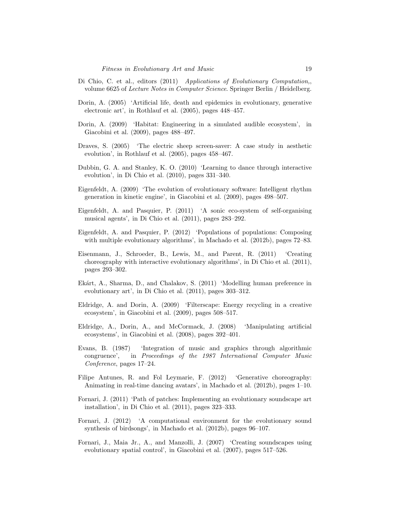- Di Chio, C. et al., editors (2011) Applications of Evolutionary Computation, volume 6625 of Lecture Notes in Computer Science. Springer Berlin / Heidelberg.
- Dorin, A. (2005) 'Artificial life, death and epidemics in evolutionary, generative electronic art', in Rothlauf et al. (2005), pages 448–457.
- Dorin, A. (2009) 'Habitat: Engineering in a simulated audible ecosystem', in Giacobini et al. (2009), pages 488–497.
- Draves, S. (2005) 'The electric sheep screen-saver: A case study in aesthetic evolution', in Rothlauf et al. (2005), pages 458–467.
- Dubbin, G. A. and Stanley, K. O. (2010) 'Learning to dance through interactive evolution', in Di Chio et al. (2010), pages 331–340.
- Eigenfeldt, A. (2009) 'The evolution of evolutionary software: Intelligent rhythm generation in kinetic engine', in Giacobini et al. (2009), pages 498–507.
- Eigenfeldt, A. and Pasquier, P. (2011) 'A sonic eco-system of self-organising musical agents', in Di Chio et al. (2011), pages 283–292.
- Eigenfeldt, A. and Pasquier, P. (2012) 'Populations of populations: Composing with multiple evolutionary algorithms', in Machado et al. (2012b), pages 72–83.
- Eisenmann, J., Schroeder, B., Lewis, M., and Parent, R. (2011) 'Creating choreography with interactive evolutionary algorithms', in Di Chio et al. (2011), pages 293–302.
- Ekárt, A., Sharma, D., and Chalakov, S. (2011) 'Modelling human preference in evolutionary art', in Di Chio et al. (2011), pages 303–312.
- Eldridge, A. and Dorin, A. (2009) 'Filterscape: Energy recycling in a creative ecosystem', in Giacobini et al. (2009), pages 508–517.
- Eldridge, A., Dorin, A., and McCormack, J. (2008) 'Manipulating artificial ecosystems', in Giacobini et al. (2008), pages 392–401.
- Evans, B. (1987) 'Integration of music and graphics through algorithmic congruence', in Proceedings of the 1987 International Computer Music Conference, pages 17–24.
- Filipe Antunes, R. and Fol Leymarie, F. (2012) 'Generative choreography: Animating in real-time dancing avatars', in Machado et al. (2012b), pages 1–10.
- Fornari, J. (2011) 'Path of patches: Implementing an evolutionary soundscape art installation', in Di Chio et al. (2011), pages 323–333.
- Fornari, J. (2012) 'A computational environment for the evolutionary sound synthesis of birdsongs', in Machado et al. (2012b), pages 96–107.
- Fornari, J., Maia Jr., A., and Manzolli, J. (2007) 'Creating soundscapes using evolutionary spatial control', in Giacobini et al. (2007), pages 517–526.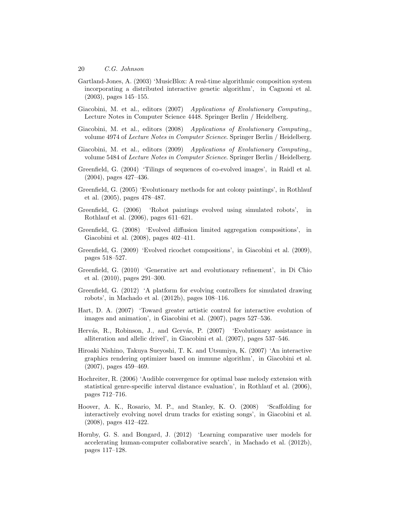- Gartland-Jones, A. (2003) 'MusicBlox: A real-time algorithmic composition system incorporating a distributed interactive genetic algorithm', in Cagnoni et al. (2003), pages 145–155.
- Giacobini, M. et al., editors (2007) Applications of Evolutionary Computing, Lecture Notes in Computer Science 4448. Springer Berlin / Heidelberg.
- Giacobini, M. et al., editors (2008) Applications of Evolutionary Computing, volume 4974 of Lecture Notes in Computer Science. Springer Berlin / Heidelberg.
- Giacobini, M. et al., editors (2009) Applications of Evolutionary Computing, volume 5484 of Lecture Notes in Computer Science. Springer Berlin / Heidelberg.
- Greenfield, G. (2004) 'Tilings of sequences of co-evolved images', in Raidl et al. (2004), pages 427–436.
- Greenfield, G. (2005) 'Evolutionary methods for ant colony paintings', in Rothlauf et al. (2005), pages 478–487.
- Greenfield, G. (2006) 'Robot paintings evolved using simulated robots', in Rothlauf et al. (2006), pages 611–621.
- Greenfield, G. (2008) 'Evolved diffusion limited aggregation compositions', in Giacobini et al. (2008), pages 402–411.
- Greenfield, G. (2009) 'Evolved ricochet compositions', in Giacobini et al. (2009), pages 518–527.
- Greenfield, G. (2010) 'Generative art and evolutionary refinement', in Di Chio et al. (2010), pages 291–300.
- Greenfield, G. (2012) 'A platform for evolving controllers for simulated drawing robots', in Machado et al. (2012b), pages 108–116.
- Hart, D. A. (2007) 'Toward greater artistic control for interactive evolution of images and animation', in Giacobini et al. (2007), pages 527–536.
- Hervás, R., Robinson, J., and Gervás, P. (2007) 'Evolutionary assistance in alliteration and allelic drivel', in Giacobini et al. (2007), pages 537–546.
- Hiroaki Nishino, Takuya Sueyoshi, T. K. and Utsumiya, K. (2007) 'An interactive graphics rendering optimizer based on immune algorithm', in Giacobini et al. (2007), pages 459–469.
- Hochreiter, R. (2006) 'Audible convergence for optimal base melody extension with statistical genre-specific interval distance evaluation', in Rothlauf et al. (2006), pages 712–716.
- Hoover, A. K., Rosario, M. P., and Stanley, K. O. (2008) 'Scaffolding for interactively evolving novel drum tracks for existing songs', in Giacobini et al. (2008), pages 412–422.
- Hornby, G. S. and Bongard, J. (2012) 'Learning comparative user models for accelerating human-computer collaborative search', in Machado et al. (2012b), pages 117–128.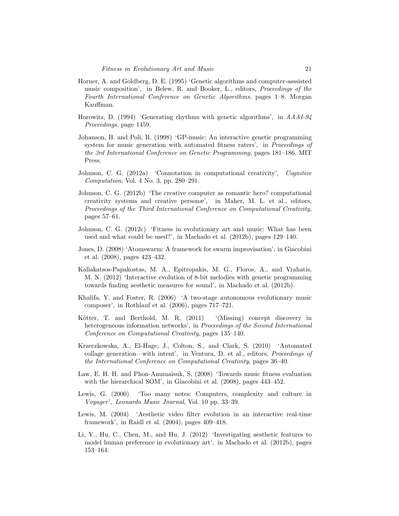- Horner, A. and Goldberg, D. E. (1995) 'Genetic algorithms and computer-asssisted music composition', in Belew, R. and Booker, L., editors, Proceedings of the Fourth International Conference on Genetic Algorithms, pages 1–8. Morgan Kauffman.
- Horowitz, D. (1994) 'Generating rhythms with genetic algorithms', in AAAI-94 Proceedings, page 1459.
- Johanson, B. and Poli, R. (1998) 'GP-music: An interactive genetic programming system for music generation with automated fitness raters', in *Proceedings of* the 3rd International Conference on Genetic Programming, pages 181–186. MIT Press.
- Johnson, C. G. (2012a) 'Connotation in computational creativity', Cognitive Computation, Vol. 4 No. 3, pp. 280–291.
- Johnson, C. G. (2012b) 'The creative computer as romantic hero? computational creativity systems and creative personæ', in Maher, M. L. et al., editors, Proceedings of the Third International Conference on Computational Creativity, pages 57–61.
- Johnson, C. G. (2012c) 'Fitness in evolutionary art and music: What has been used and what could be used?', in Machado et al. (2012b), pages 129–140.
- Jones, D. (2008) 'Atomswarm: A framework for swarm improvisation', in Giacobini et al. (2008), pages 423–432.
- Kaliakatsos-Papakostas, M. A., Epitropakis, M. G., Floros, A., and Vrahatis, M. N. (2012) 'Interactive evolution of 8-bit melodies with genetic programming towards finding aesthetic measures for sound', in Machado et al. (2012b).
- Khalifa, Y. and Foster, R. (2006) 'A two-stage autonomous evolutionary music composer', in Rothlauf et al. (2006), pages 717–721.
- Kötter, T. and Berthold, M. R. (2011) '(Missing) concept discovery in heterogeneous information networks', in Proceedings of the Second International Conference on Computational Creativity, pages 135–140.
- Krzeczkowska, A., El-Hage, J., Colton, S., and Clark, S. (2010) 'Automated collage generation—with intent', in Ventura, D. et al., editors, Proceedings of the International Conference on Computational Creativity, pages 36–40.
- Law, E. H. H. and Phon-Amnuaisuk, S. (2008) 'Towards music fitness evaluation with the hierarchical SOM', in Giacobini et al. (2008), pages 443–452.
- Lewis, G. (2000) 'Too many notes: Computers, complexity and culture in Voyager ', Leonardo Music Journal, Vol. 10 pp. 33–39.
- Lewis, M. (2004) 'Aesthetic video filter evolution in an interactive real-time framework', in Raidl et al. (2004), pages 409–418.
- Li, Y., Hu, C., Chen, M., and Hu, J. (2012) 'Investigating aesthetic features to model human preference in evolutionary art', in Machado et al. (2012b), pages 153–164.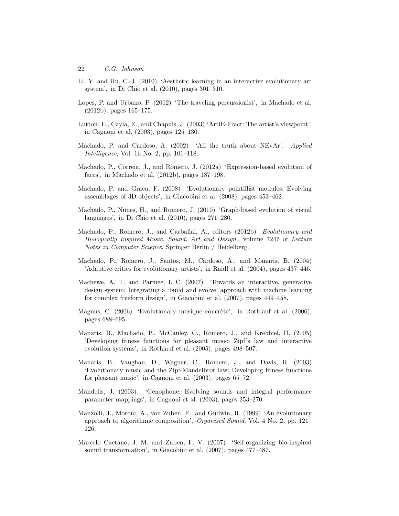- Li, Y. and Hu, C.-J. (2010) 'Aesthetic learning in an interactive evolutionary art system', in Di Chio et al. (2010), pages 301–310.
- Lopes, P. and Urbano, P. (2012) 'The traveling percussionist', in Machado et al. (2012b), pages 165–175.
- Lutton, E., Cayla, E., and Chapuis, J. (2003) 'ArtiE-Fract: The artist's viewpoint', in Cagnoni et al. (2003), pages 125–130.
- Machado, P. and Cardoso, A. (2002) 'All the truth about NEvAr', Applied Intelligence, Vol. 16 No. 2, pp. 101–118.
- Machado, P., Correia, J., and Romero, J. (2012a) 'Expression-based evolution of faces', in Machado et al. (2012b), pages 187–198.
- Machado, P. and Graca, F. (2008) 'Evolutionary pointillist modules: Evolving assemblages of 3D objects', in Giacobini et al. (2008), pages 453–462.
- Machado, P., Nunes, H., and Romero, J. (2010) 'Graph-based evolution of visual languages', in Di Chio et al. (2010), pages 271–280.
- Machado, P., Romero, J., and Carballal, A., editors (2012b) Evolutionary and Biologically Inspired Music, Sound, Art and Design,, volume 7247 of Lecture Notes in Computer Science. Springer Berlin / Heidelberg.
- Machado, P., Romero, J., Santos, M., Cardoso, A., and Manaris, B. (2004) 'Adaptive critics for evolutionary artists', in Raidl et al. (2004), pages 437–446.
- Machewe, A. T. and Parmee, I. C. (2007) 'Towards an interactive, generative design system: Integrating a 'build and evolve' approach with machine learning for complex freeform design', in Giacobini et al. (2007), pages 449–458.
- Magnus, C. (2006) 'Evolutionary musique concrète', in Rothlauf et al. (2006), pages 688–695.
- Manaris, B., Machado, P., McCauley, C., Romero, J., and Krehbiel, D. (2005) 'Developing fitness functions for pleasant music: Zipf's law and interactive evolution systems', in Rothlauf et al. (2005), pages 498–507.
- Manaris, B., Vaughan, D., Wagner, C., Romero, J., and Davis, R. (2003) 'Evolutionary music and the Zipf-Mandelbrot law: Developing fitness functions for pleasant music', in Cagnoni et al. (2003), pages 65–72.
- Mandelis, J. (2003) 'Genophone: Evolving sounds and integral performance parameter mappings', in Cagnoni et al. (2003), pages 253–270.
- Manzolli, J., Moroni, A., von Zuben, F., and Gudwin, R. (1999) 'An evolutionary approach to algorithmic composition', Organised Sound, Vol. 4 No. 2, pp. 121– 126.
- Marcelo Caetano, J. M. and Zuben, F. V. (2007) 'Self-organizing bio-inspired sound transformation', in Giacobini et al. (2007), pages 477–487.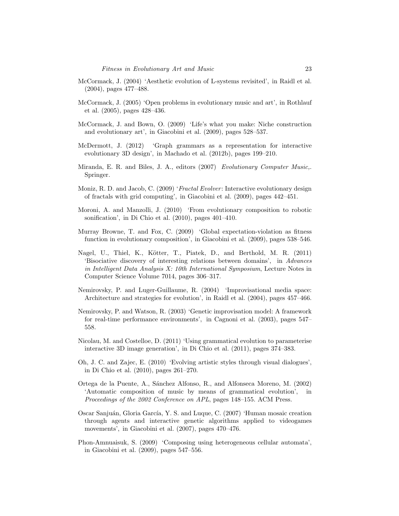- McCormack, J. (2004) 'Aesthetic evolution of L-systems revisited', in Raidl et al. (2004), pages 477–488.
- McCormack, J. (2005) 'Open problems in evolutionary music and art', in Rothlauf et al. (2005), pages 428–436.
- McCormack, J. and Bown, O. (2009) 'Life's what you make: Niche construction and evolutionary art', in Giacobini et al. (2009), pages 528–537.
- McDermott, J. (2012) 'Graph grammars as a representation for interactive evolutionary 3D design', in Machado et al. (2012b), pages 199–210.
- Miranda, E. R. and Biles, J. A., editors (2007) Evolutionary Computer Music,. Springer.
- Moniz, R. D. and Jacob, C. (2009) 'Fractal Evolver: Interactive evolutionary design of fractals with grid computing', in Giacobini et al. (2009), pages 442–451.
- Moroni, A. and Manzolli, J. (2010) 'From evolutionary composition to robotic sonification', in Di Chio et al. (2010), pages 401–410.
- Murray Browne, T. and Fox, C. (2009) 'Global expectation-violation as fitness function in evolutionary composition', in Giacobini et al. (2009), pages 538–546.
- Nagel, U., Thiel, K., Kötter, T., Piatek, D., and Berthold, M. R. (2011) 'Bisociative discovery of interesting relations between domains', in Advances in Intelligent Data Analysis X: 10th International Symposium, Lecture Notes in Computer Science Volume 7014, pages 306–317.
- Nemirovsky, P. and Luger-Guillaume, R. (2004) 'Improvisational media space: Architecture and strategies for evolution', in Raidl et al. (2004), pages 457–466.
- Nemirovsky, P. and Watson, R. (2003) 'Genetic improvisation model: A framework for real-time performance environments', in Cagnoni et al. (2003), pages 547– 558.
- Nicolau, M. and Costelloe, D. (2011) 'Using grammatical evolution to parameterise interactive 3D image generation', in Di Chio et al. (2011), pages 374–383.
- Oh, J. C. and Zajec, E. (2010) 'Evolving artistic styles through visual dialogues', in Di Chio et al. (2010), pages 261–270.
- Ortega de la Puente, A., S´anchez Alfonso, R., and Alfonseca Moreno, M. (2002) 'Automatic composition of music by means of grammatical evolution', in Proceedings of the 2002 Conference on APL, pages 148–155. ACM Press.
- Oscar Sanjuán, Gloria García, Y. S. and Luque, C. (2007) 'Human mosaic creation through agents and interactive genetic algorithms applied to videogames movements', in Giacobini et al. (2007), pages 470–476.
- Phon-Amnuaisuk, S. (2009) 'Composing using heterogeneous cellular automata', in Giacobini et al. (2009), pages 547–556.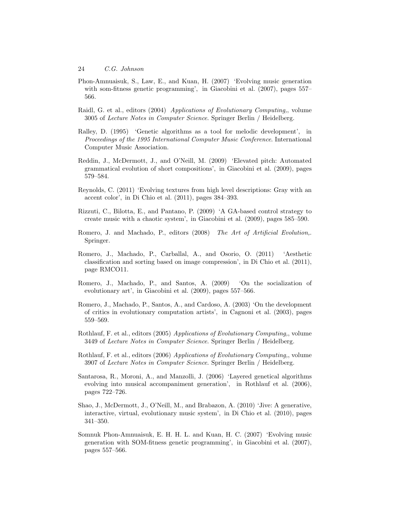- Phon-Amnuaisuk, S., Law, E., and Kuan, H. (2007) 'Evolving music generation with som-fitness genetic programming', in Giacobini et al. (2007), pages 557– 566.
- Raidl, G. et al., editors (2004) Applications of Evolutionary Computing,, volume 3005 of Lecture Notes in Computer Science. Springer Berlin / Heidelberg.
- Ralley, D. (1995) 'Genetic algorithms as a tool for melodic development', in Proceedings of the 1995 International Computer Music Conference. International Computer Music Association.
- Reddin, J., McDermott, J., and O'Neill, M. (2009) 'Elevated pitch: Automated grammatical evolution of short compositions', in Giacobini et al. (2009), pages 579–584.
- Reynolds, C. (2011) 'Evolving textures from high level descriptions: Gray with an accent color', in Di Chio et al. (2011), pages 384–393.
- Rizzuti, C., Bilotta, E., and Pantano, P. (2009) 'A GA-based control strategy to create music with a chaotic system', in Giacobini et al. (2009), pages 585–590.
- Romero, J. and Machado, P., editors (2008) The Art of Artificial Evolution,. Springer.
- Romero, J., Machado, P., Carballal, A., and Osorio, O. (2011) 'Aesthetic classification and sorting based on image compression', in Di Chio et al. (2011), page RMCO11.
- Romero, J., Machado, P., and Santos, A. (2009) 'On the socialization of evolutionary art', in Giacobini et al. (2009), pages 557–566.
- Romero, J., Machado, P., Santos, A., and Cardoso, A. (2003) 'On the development of critics in evolutionary computation artists', in Cagnoni et al. (2003), pages 559–569.
- Rothlauf, F. et al., editors (2005) Applications of Evolutionary Computing,, volume 3449 of Lecture Notes in Computer Science. Springer Berlin / Heidelberg.
- Rothlauf, F. et al., editors (2006) Applications of Evolutionary Computing,, volume 3907 of Lecture Notes in Computer Science. Springer Berlin / Heidelberg.
- Santarosa, R., Moroni, A., and Manzolli, J. (2006) 'Layered genetical algorithms evolving into musical accompaniment generation', in Rothlauf et al. (2006), pages 722–726.
- Shao, J., McDermott, J., O'Neill, M., and Brabazon, A. (2010) 'Jive: A generative, interactive, virtual, evolutionary music system', in Di Chio et al. (2010), pages 341–350.
- Somnuk Phon-Amnuaisuk, E. H. H. L. and Kuan, H. C. (2007) 'Evolving music generation with SOM-fitness genetic programming', in Giacobini et al. (2007), pages 557–566.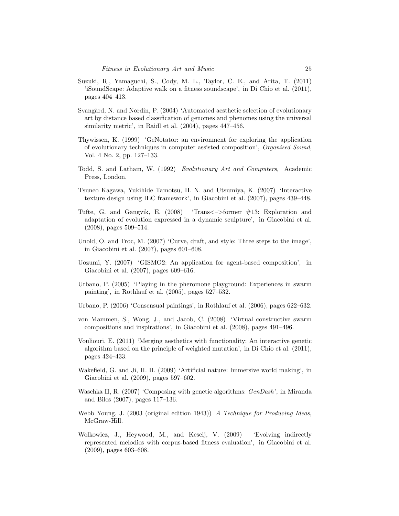- Suzuki, R., Yamaguchi, S., Cody, M. L., Taylor, C. E., and Arita, T. (2011) 'iSoundScape: Adaptive walk on a fitness soundscape', in Di Chio et al. (2011), pages 404–413.
- Svangård, N. and Nordin, P. (2004) 'Automated aesthetic selection of evolutionary art by distance based classification of genomes and phenomes using the universal similarity metric', in Raidl et al. (2004), pages 447–456.
- Thywissen, K. (1999) 'GeNotator: an environment for exploring the application of evolutionary techniques in computer assisted composition', Organised Sound, Vol. 4 No. 2, pp. 127–133.
- Todd, S. and Latham, W. (1992) Evolutionary Art and Computers, Academic Press, London.
- Tsuneo Kagawa, Yukihide Tamotsu, H. N. and Utsumiya, K. (2007) 'Interactive texture design using IEC framework', in Giacobini et al. (2007), pages 439–448.
- Tufte, G. and Gangvik, E. (2008) 'Trans<–>former #13: Exploration and adaptation of evolution expressed in a dynamic sculpture', in Giacobini et al. (2008), pages 509–514.
- Unold, O. and Troc, M. (2007) 'Curve, draft, and style: Three steps to the image', in Giacobini et al. (2007), pages 601–608.
- Uozumi, Y. (2007) 'GISMO2: An application for agent-based composition', in Giacobini et al. (2007), pages 609–616.
- Urbano, P. (2005) 'Playing in the pheromone playground: Experiences in swarm painting', in Rothlauf et al. (2005), pages 527–532.
- Urbano, P. (2006) 'Consensual paintings', in Rothlauf et al. (2006), pages 622–632.
- von Mammen, S., Wong, J., and Jacob, C. (2008) 'Virtual constructive swarm compositions and inspirations', in Giacobini et al. (2008), pages 491–496.
- Vouliouri, E. (2011) 'Merging aesthetics with functionality: An interactive genetic algorithm based on the principle of weighted mutation', in Di Chio et al. (2011), pages 424–433.
- Wakefield, G. and Ji, H. H. (2009) 'Artificial nature: Immersive world making', in Giacobini et al. (2009), pages 597–602.
- Waschka II, R. (2007) 'Composing with genetic algorithms: *GenDash*', in Miranda and Biles (2007), pages 117–136.
- Webb Young, J. (2003 (original edition 1943)) A Technique for Producing Ideas, McGraw-Hill.
- Wolkowicz, J., Heywood, M., and Keselj, V. (2009) 'Evolving indirectly represented melodies with corpus-based fitness evaluation', in Giacobini et al. (2009), pages 603–608.